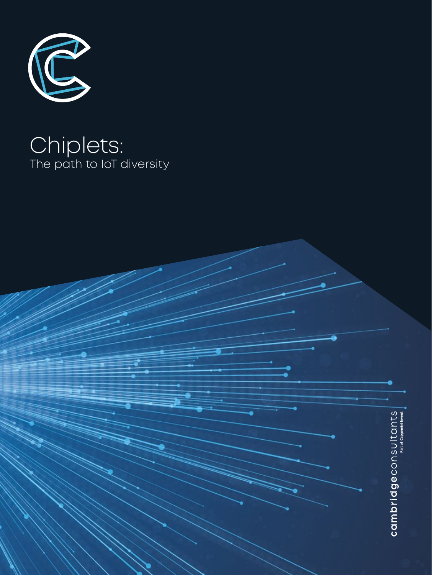

# Chiplets: The path to IoT diversity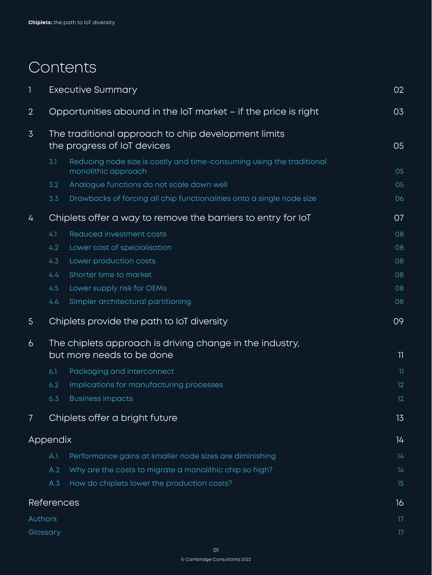# Contents

| 1              | <b>Executive Summary</b><br>02                                                     |                                                                                              |                         |  |  |
|----------------|------------------------------------------------------------------------------------|----------------------------------------------------------------------------------------------|-------------------------|--|--|
| $\overline{2}$ | Opportunities abound in the IoT market - if the price is right<br>03               |                                                                                              |                         |  |  |
| $\overline{3}$ | The traditional approach to chip development limits<br>the progress of IoT devices |                                                                                              |                         |  |  |
|                | 3.1                                                                                | Reducing node size is costly and time-consuming using the traditional<br>monolithic approach | 05                      |  |  |
|                | 3.2                                                                                | Analogue functions do not scale down well                                                    | 05                      |  |  |
|                | 3.3                                                                                | Drawbacks of forcing all chip functionalities onto a single node size                        | 06                      |  |  |
| 4              | Chiplets offer a way to remove the barriers to entry for loT                       |                                                                                              |                         |  |  |
|                | 4.1                                                                                | Reduced investment costs                                                                     | 08                      |  |  |
|                | 4.2                                                                                | Lower cost of specialisation                                                                 | 08                      |  |  |
|                | 4.3                                                                                | Lower production costs                                                                       | 08                      |  |  |
|                | 4.4                                                                                | Shorter time to market                                                                       | 08                      |  |  |
|                | 4.5                                                                                | Lower supply risk for OEMs                                                                   | 08                      |  |  |
|                | 4.6                                                                                | Simpler architectural partitioning                                                           | 08                      |  |  |
|                |                                                                                    |                                                                                              |                         |  |  |
| $5\phantom{.}$ |                                                                                    | Chiplets provide the path to IoT diversity                                                   | 09                      |  |  |
| 6              |                                                                                    | The chiplets approach is driving change in the industry,<br>but more needs to be done        | 11                      |  |  |
|                | 6.1                                                                                | Packaging and interconnect                                                                   | $\overline{\mathbb{1}}$ |  |  |
|                | 6.2                                                                                | Implications for manufacturing processes                                                     | 12                      |  |  |
|                | 6.3                                                                                | <b>Business impacts</b>                                                                      | 12                      |  |  |
| 7              |                                                                                    | Chiplets offer a bright future                                                               | 13                      |  |  |
|                | Appendix                                                                           |                                                                                              | 14                      |  |  |
|                | A.1                                                                                | Performance gains at smaller node sizes are diminishing                                      | 14                      |  |  |
|                | A.2                                                                                | Why are the costs to migrate a monolithic chip so high?                                      | 14                      |  |  |
|                | A.3                                                                                | How do chiplets lower the production costs?                                                  | 15                      |  |  |
|                | References                                                                         |                                                                                              | 16                      |  |  |
| Authors        |                                                                                    |                                                                                              | 17                      |  |  |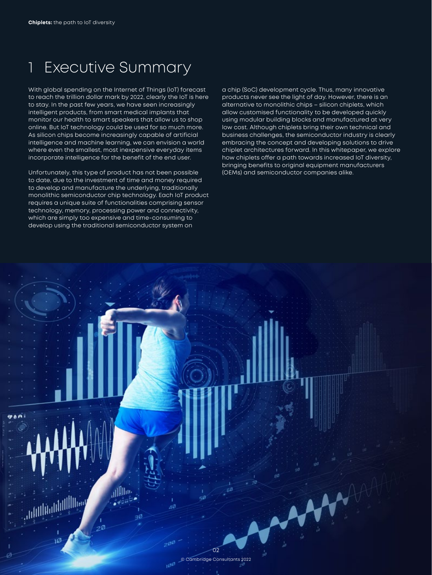## <span id="page-2-0"></span>1 Executive Summary

With global spending on the Internet of Things (IoT) forecast to reach the trillion dollar mark by 2022, clearly the IoT is here to stay. In the past few years, we have seen increasingly intelligent products, from smart medical implants that monitor our health to smart speakers that allow us to shop online. But IoT technology could be used for so much more. As silicon chips become increasingly capable of artificial intelligence and machine learning, we can envision a world where even the smallest, most inexpensive everyday items incorporate intelligence for the benefit of the end user.

Unfortunately, this type of product has not been possible to date, due to the investment of time and money required to develop and manufacture the underlying, traditionally monolithic semiconductor chip technology. Each IoT product requires a unique suite of functionalities comprising sensor technology, memory, processing power and connectivity, which are simply too expensive and time-consuming to develop using the traditional semiconductor system on

a chip (SoC) development cycle. Thus, many innovative products never see the light of day. However, there is an alternative to monolithic chips – silicon chiplets, which allow customised functionality to be developed quickly using modular building blocks and manufactured at very low cost. Although chiplets bring their own technical and business challenges, the semiconductor industry is clearly embracing the concept and developing solutions to drive chiplet architectures forward. In this whitepaper, we explore how chiplets offer a path towards increased IoT diversity, bringing benefits to original equipment manufacturers (OEMs) and semiconductor companies alike.

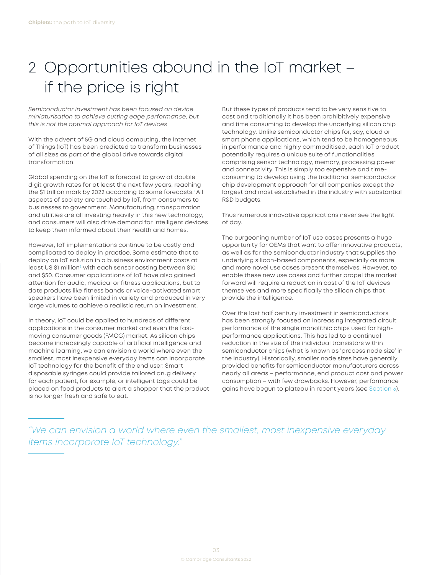# <span id="page-3-0"></span>2 Opportunities abound in the IoT market – if the price is right

*Semiconductor investment has been focused on device miniaturisation to achieve cutting edge performance, but this is not the optimal approach for IoT devices* 

With the advent of 5G and cloud computing, the Internet of Things (IoT) has been predicted to transform businesses of all sizes as part of the global drive towards digital transformation.

Global spending on the IoT is forecast to grow at double digit growth rates for at least the next few years, reaching the \$[1](#page-16-0) trillion mark by 2022 according to some forecasts.<sup>1</sup> All aspects of society are touched by IoT, from consumers to businesses to government. Manufacturing, transportation and utilities are all investing heavily in this new technology, and consumers will also drive demand for intelligent devices to keep them informed about their health and homes.

However, IoT implementations continue to be costly and complicated to deploy in practice. Some estimate that to deploy an IoT solution in a business environment costs at least US \$1 million<sup>[2](#page-16-0)</sup> with each sensor costing between \$10 and \$50. Consumer applications of IoT have also gained attention for audio, medical or fitness applications, but to date products like fitness bands or voice-activated smart speakers have been limited in variety and produced in very large volumes to achieve a realistic return on investment.

In theory, IoT could be applied to hundreds of different applications in the consumer market and even the fastmoving consumer goods (FMCG) market. As silicon chips become increasingly capable of artificial intelligence and machine learning, we can envision a world where even the smallest, most inexpensive everyday items can incorporate IoT technology for the benefit of the end user. Smart disposable syringes could provide tailored drug delivery for each patient, for example, or intelligent tags could be placed on food products to alert a shopper that the product is no longer fresh and safe to eat.

But these types of products tend to be very sensitive to cost and traditionally it has been prohibitively expensive and time consuming to develop the underlying silicon chip technology. Unlike semiconductor chips for, say, cloud or smart phone applications, which tend to be homogeneous in performance and highly commoditised, each IoT product potentially requires a unique suite of functionalities comprising sensor technology, memory, processing power and connectivity. This is simply too expensive and timeconsuming to develop using the traditional semiconductor chip development approach for all companies except the largest and most established in the industry with substantial R&D budgets.

Thus numerous innovative applications never see the light of day.

The burgeoning number of IoT use cases presents a huge opportunity for OEMs that want to offer innovative products, as well as for the semiconductor industry that supplies the underlying silicon-based components, especially as more and more novel use cases present themselves. However, to enable these new use cases and further propel the market forward will require a reduction in cost of the IoT devices themselves and more specifically the silicon chips that provide the intelligence.

Over the last half century investment in semiconductors has been strongly focused on increasing integrated circuit performance of the single monolithic chips used for highperformance applications. This has led to a continual reduction in the size of the individual transistors within semiconductor chips (what is known as 'process node size' in the industry). Historically, smaller node sizes have generally provided benefits for semiconductor manufacturers across nearly all areas – performance, end product cost and power consumption – with few drawbacks. However, performance gains have begun to plateau in recent years (see [Section 3](#page-5-1)).

*"We can envision a world where even the smallest, most inexpensive everyday items incorporate IoT technology."*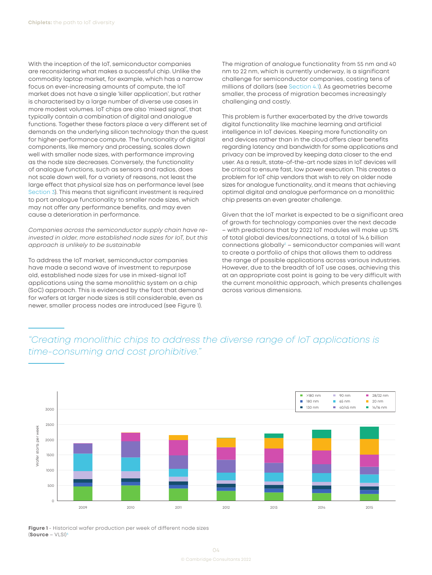<span id="page-4-0"></span>With the inception of the IoT, semiconductor companies are reconsidering what makes a successful chip. Unlike the commodity laptop market, for example, which has a narrow focus on ever-increasing amounts of compute, the IoT market does not have a single 'killer application', but rather is characterised by a large number of diverse use cases in more modest volumes. IoT chips are also 'mixed signal', that typically contain a combination of digital and analogue functions. Together these factors place a very different set of demands on the underlying silicon technology than the quest for higher-performance compute. The functionality of digital components, like memory and processing, scales down well with smaller node sizes, with performance improving as the node size decreases. Conversely, the functionality of analogue functions, such as sensors and radios, does not scale down well, for a variety of reasons, not least the large effect that physical size has on performance level (see [Section 3](#page-5-1)). This means that significant investment is required to port analogue functionality to smaller node sizes, which may not offer any performance benefits, and may even cause a deterioration in performance.

*Companies across the semiconductor supply chain have reinvested in older, more established node sizes for IoT, but this approach is unlikely to be sustainable*

To address the IoT market, semiconductor companies have made a second wave of investment to repurpose old, established node sizes for use in mixed-signal IoT applications using the same monolithic system on a chip (SoC) approach. This is evidenced by the fact that demand for wafers at larger node sizes is still considerable, even as newer, smaller process nodes are introduced (see Figure 1).

The migration of analogue functionality from 55 nm and 40 nm to 22 nm, which is currently underway, is a significant challenge for semiconductor companies, costing tens of millions of dollars (see [Section 4.1\)](#page-8-1). As geometries become smaller, the process of migration becomes increasingly challenging and costly.

This problem is further exacerbated by the drive towards digital functionality like machine learning and artificial intelligence in IoT devices. Keeping more functionality on end devices rather than in the cloud offers clear benefits regarding latency and bandwidth for some applications and privacy can be improved by keeping data closer to the end user. As a result, state-of-the-art node sizes in IoT devices will be critical to ensure fast, low power execution. This creates a problem for IoT chip vendors that wish to rely on older node sizes for analogue functionality, and it means that achieving optimal digital and analogue performance on a monolithic chip presents an even greater challenge.

Given that the IoT market is expected to be a significant area of growth for technology companies over the next decade – with predictions that by 2022 IoT modules will make up 51% of total global devices/connections, a total of 14.6 billion connections globally<sup>3</sup> – semiconductor companies will want to create a portfolio of chips that allows them to address the range of possible applications across various industries. However, due to the breadth of IoT use cases, achieving this at an appropriate cost point is going to be very difficult with the current monolithic approach, which presents challenges across various dimensions.

## *"Creating monolithic chips to address the diverse range of IoT applications is time-consuming and cost prohibitive."*



**Figure 1** - Historical wafer production per week of different node sizes (**Source** – VLSI)[4](#page-16-0)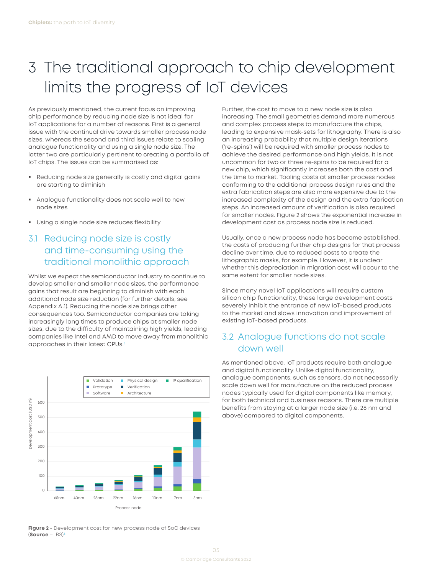# <span id="page-5-1"></span><span id="page-5-0"></span>3 The traditional approach to chip development limits the progress of IoT devices

As previously mentioned, the current focus on improving chip performance by reducing node size is not ideal for IoT applications for a number of reasons. First is a general issue with the continual drive towards smaller process node sizes, whereas the second and third issues relate to scaling analogue functionality and using a single node size. The latter two are particularly pertinent to creating a portfolio of IoT chips. The issues can be summarised as:

- Reducing node size generally is costly and digital gains are starting to diminish
- Analogue functionality does not scale well to new node sizes
- **Using a single node size reduces flexibility**

### 3.1 Reducing node size is costly and time-consuming using the traditional monolithic approach

Whilst we expect the semiconductor industry to continue to develop smaller and smaller node sizes, the performance gains that result are beginning to diminish with each additional node size reduction (for further details, see Appendix A.1). Reducing the node size brings other consequences too. Semiconductor companies are taking increasingly long times to produce chips at smaller node sizes, due to the difficulty of maintaining high yields, leading companies like Intel and AMD to move away from monolithic approaches in their latest CPUs.<sup>[5](#page-16-0)</sup>



**Figure 2** - Development cost for new process node of SoC devices (**Source** – IBS)[6](#page-16-0)

Further, the cost to move to a new node size is also increasing. The small geometries demand more numerous and complex process steps to manufacture the chips, leading to expensive mask-sets for lithography. There is also an increasing probability that multiple design iterations ('re-spins') will be required with smaller process nodes to achieve the desired performance and high yields. It is not uncommon for two or three re-spins to be required for a new chip, which significantly increases both the cost and the time to market. Tooling costs at smaller process nodes conforming to the additional process design rules and the extra fabrication steps are also more expensive due to the increased complexity of the design and the extra fabrication steps. An increased amount of verification is also required for smaller nodes. Figure 2 shows the exponential increase in development cost as process node size is reduced.

Usually, once a new process node has become established, the costs of producing further chip designs for that process decline over time, due to reduced costs to create the lithographic masks, for example. However, it is unclear whether this depreciation in migration cost will occur to the same extent for smaller node sizes.

Since many novel IoT applications will require custom silicon chip functionality, these large development costs severely inhibit the entrance of new IoT-based products to the market and slows innovation and improvement of existing IoT-based products.

### 3.2 Analogue functions do not scale down well

As mentioned above, IoT products require both analogue and digital functionality. Unlike digital functionality, analogue components, such as sensors, do not necessarily scale down well for manufacture on the reduced process nodes typically used for digital components like memory, for both technical and business reasons. There are multiple benefits from staying at a larger node size (i.e. 28 nm and above) compared to digital components.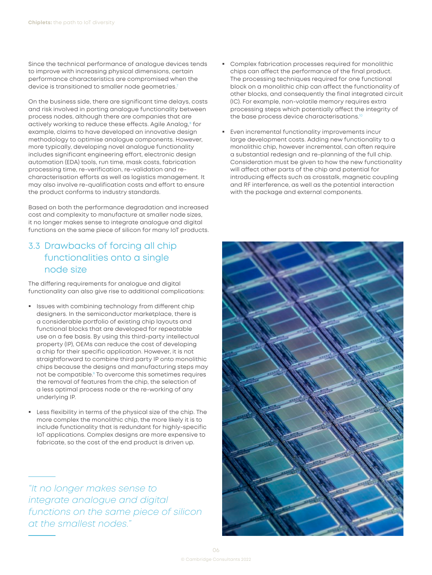<span id="page-6-0"></span>Since the technical performance of analogue devices tends to improve with increasing physical dimensions, certain performance characteristics are compromised when the device is transitioned to smaller node geometries.<sup>7</sup>

On the business side, there are significant time delays, costs and risk involved in porting analogue functionality between process nodes, although there are companies that are actively working to reduce these effects. Agile Analog,<sup>[8](#page-16-0)</sup> for example, claims to have developed an innovative design methodology to optimise analogue components. However, more typically, developing novel analogue functionality includes significant engineering effort, electronic design automation (EDA) tools, run time, mask costs, fabrication processing time, re-verification, re-validation and recharacterisation efforts as well as logistics management. It may also involve re-qualification costs and effort to ensure the product conforms to industry standards.

Based on both the performance degradation and increased cost and complexity to manufacture at smaller node sizes, it no longer makes sense to integrate analogue and digital functions on the same piece of silicon for many IoT products.

### 3.3 Drawbacks of forcing all chip functionalities onto a single node size

The differing requirements for analogue and digital functionality can also give rise to additional complications:

- Issues with combining technology from different chip designers. In the semiconductor marketplace, there is a considerable portfolio of existing chip layouts and functional blocks that are developed for repeatable use on a fee basis. By using this third-party intellectual property (IP), OEMs can reduce the cost of developing a chip for their specific application. However, it is not straightforward to combine third party IP onto monolithic chips because the designs and manufacturing steps may not be compatible.<sup>9</sup> To overcome this sometimes requires the removal of features from the chip, the selection of a less optimal process node or the re-working of any underlying IP.
- Less flexibility in terms of the physical size of the chip. The more complex the monolithic chip, the more likely it is to include functionality that is redundant for highly-specific IoT applications. Complex designs are more expensive to fabricate, so the cost of the end product is driven up.

*"It no longer makes sense to integrate analogue and digital functions on the same piece of silicon at the smallest nodes."*

- Complex fabrication processes required for monolithic chips can affect the performance of the final product. The processing techniques required for one functional block on a monolithic chip can affect the functionality of other blocks, and consequently the final integrated circuit (IC). For example, non-volatile memory requires extra processing steps which potentially affect the integrity of the base process device characterisations.<sup>10</sup>
- Even incremental functionality improvements incur large development costs. Adding new functionality to a monolithic chip, however incremental, can often require a substantial redesign and re-planning of the full chip. Consideration must be given to how the new functionality will affect other parts of the chip and potential for introducing effects such as crosstalk, magnetic coupling and RF interference, as well as the potential interaction with the package and external components.

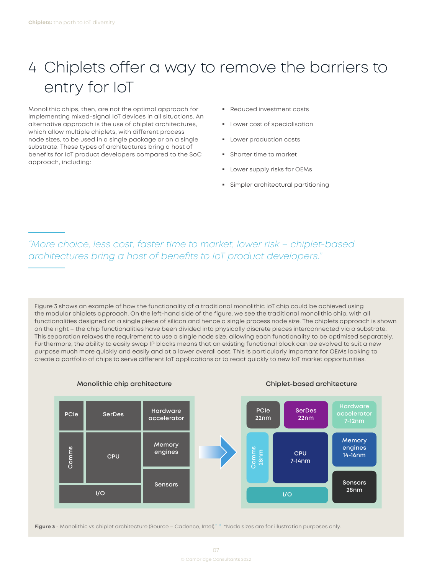# <span id="page-7-0"></span>4 Chiplets offer a way to remove the barriers to entry for IoT

Monolithic chips, then, are not the optimal approach for implementing mixed-signal IoT devices in all situations. An alternative approach is the use of chiplet architectures, which allow multiple chiplets, with different process node sizes, to be used in a single package or on a single substrate. These types of architectures bring a host of benefits for IoT product developers compared to the SoC approach, including:

- Reduced investment costs
- **Lower cost of specialisation**
- **Lower production costs**
- **Shorter time to market**
- **Lower supply risks for OEMs**
- Simpler architectural partitioning

*"More choice, less cost, faster time to market, lower risk – chiplet-based architectures bring a host of benefits to IoT product developers."*

Figure 3 shows an example of how the functionality of a traditional monolithic IoT chip could be achieved using the modular chiplets approach. On the left-hand side of the figure, we see the traditional monolithic chip, with all functionalities designed on a single piece of silicon and hence a single process node size. The chiplets approach is shown on the right – the chip functionalities have been divided into physically discrete pieces interconnected via a substrate. This separation relaxes the requirement to use a single node size, allowing each functionality to be optimised separately. Furthermore, the ability to easily swap IP blocks means that an existing functional block can be evolved to suit a new purpose much more quickly and easily and at a lower overall cost. This is particularly important for OEMs looking to create a portfolio of chips to serve different IoT applications or to react quickly to new IoT market opportunities.



**Monolithic chip architecture Chiplet-based architecture**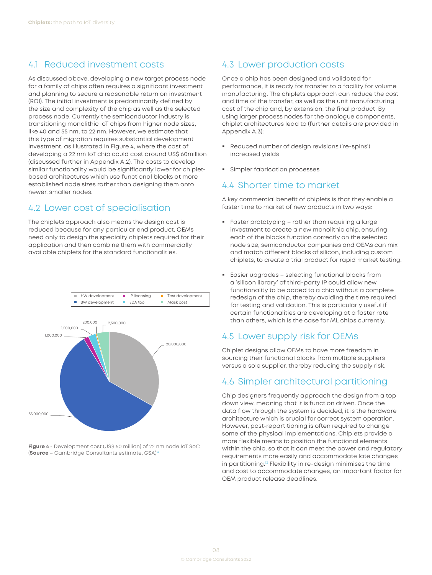### <span id="page-8-1"></span><span id="page-8-0"></span>4.1 Reduced investment costs

As discussed above, developing a new target process node for a family of chips often requires a significant investment and planning to secure a reasonable return on investment (ROI). The initial investment is predominantly defined by the size and complexity of the chip as well as the selected process node. Currently the semiconductor industry is transitioning monolithic IoT chips from higher node sizes, like 40 and 55 nm, to 22 nm. However, we estimate that this type of migration requires substantial development investment, as illustrated in Figure 4, where the cost of developing a 22 nm IoT chip could cost around US\$ 60million (discussed further in Appendix A.2). The costs to develop similar functionality would be significantly lower for chipletbased architectures which use functional blocks at more established node sizes rather than designing them onto newer, smaller nodes.

### 4.2 Lower cost of specialisation

The chiplets approach also means the design cost is reduced because for any particular end product, OEMs need only to design the specialty chiplets required for their application and then combine them with commercially available chiplets for the standard functionalities.



**Figure 4** - Development cost (US\$ 60 million) of 22 nm node IoT SoC (**Source** – Cambridge Consultants estimate, GSA)[14](#page-16-0)

### 4.3 Lower production costs

Once a chip has been designed and validated for performance, it is ready for transfer to a facility for volume manufacturing. The chiplets approach can reduce the cost and time of the transfer, as well as the unit manufacturing cost of the chip and, by extension, the final product. By using larger process nodes for the analogue components, chiplet architectures lead to (further details are provided in Appendix A.3):

- Reduced number of design revisions ('re-spins') increased yields
- **Simpler fabrication processes**

#### 4.4 Shorter time to market

A key commercial benefit of chiplets is that they enable a faster time to market of new products in two ways:

- **Faster prototyping rather than requiring a large** investment to create a new monolithic chip, ensuring each of the blocks function correctly on the selected node size, semiconductor companies and OEMs can mix and match different blocks of silicon, including custom chiplets, to create a trial product for rapid market testing.
- Easier upgrades selecting functional blocks from a 'silicon library' of third-party IP could allow new functionality to be added to a chip without a complete redesign of the chip, thereby avoiding the time required for testing and validation. This is particularly useful if certain functionalities are developing at a faster rate than others, which is the case for ML chips currently.

### 4.5 Lower supply risk for OEMs

Chiplet designs allow OEMs to have more freedom in sourcing their functional blocks from multiple suppliers versus a sole supplier, thereby reducing the supply risk.

### 4.6 Simpler architectural partitioning

Chip designers frequently approach the design from a top down view, meaning that it is function driven. Once the data flow through the system is decided, it is the hardware architecture which is crucial for correct system operation. However, post-repartitioning is often required to change some of the physical implementations. Chiplets provide a more flexible means to position the functional elements within the chip, so that it can meet the power and regulatory requirements more easily and accommodate late changes in partitioning.[13](#page-16-0) Flexibility in re-design minimises the time and cost to accommodate changes, an important factor for OEM product release deadlines.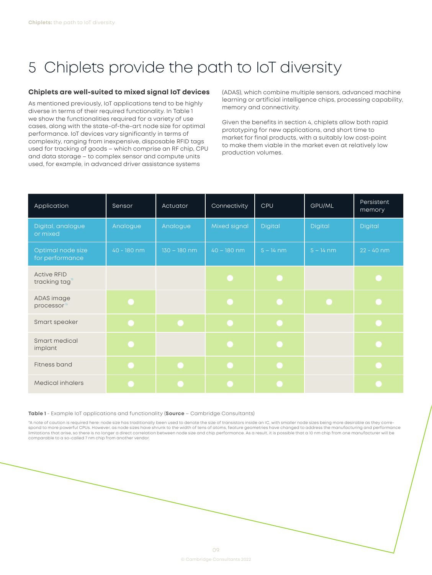# <span id="page-9-0"></span>5 Chiplets provide the path to IoT diversity

#### **Chiplets are well-suited to mixed signal IoT devices**

As mentioned previously, IoT applications tend to be highly diverse in terms of their required functionality. In Table 1 we show the functionalities required for a variety of use cases, along with the state-of-the-art node size for optimal performance. IoT devices vary significantly in terms of complexity, ranging from inexpensive, disposable RFID tags used for tracking of goods – which comprise an RF chip, CPU and data storage – to complex sensor and compute units used, for example, in advanced driver assistance systems

(ADAS), which combine multiple sensors, advanced machine learning or artificial intelligence chips, processing capability, memory and connectivity.

Given the benefits in section 4, chiplets allow both rapid prototyping for new applications, and short time to market for final products, with a suitably low cost-point to make them viable in the market even at relatively low production volumes.

| Application                                      | Sensor      | Actuator       | Connectivity  | <b>CPU</b>  | GPU/ML      | Persistent<br>memory |
|--------------------------------------------------|-------------|----------------|---------------|-------------|-------------|----------------------|
| Digital, analogue<br>or mixed                    | Analogue    | Analogue       | Mixed signal  | Digital     | Digital     | Digital              |
| Optimal node size<br>for performance             | 40 - 180 nm | $130 - 180$ nm | $40 - 180$ nm | $5 - 14$ nm | $5 - 14$ nm | $22 - 40$ nm         |
| <b>Active RFID</b><br>tracking tag <sup>15</sup> |             |                |               |             |             |                      |
| ADAS image<br>processor <sup>16</sup>            |             |                |               |             |             |                      |
| Smart speaker                                    |             |                |               |             |             |                      |
| Smart medical<br>implant                         |             |                |               |             |             |                      |
| Fitness band                                     |             |                |               |             |             |                      |
| <b>Medical inhalers</b>                          |             |                |               |             |             |                      |

#### **Table 1** - Example IoT applications and functionality (**Source** – Cambridge Consultants)

\*A note of caution is required here: node size has traditionally been used to denote the size of transistors inside an IC, with smaller node sizes being more desirable as they corre-<br>spond to more powerful CPUs. However, a limitations that arise, so there is no longer a direct correlation between node size and chip performance. As a result, it is possible that a 10 nm chip from one manufacturer will be comparable to a so-called 7 nm chip from another vendor.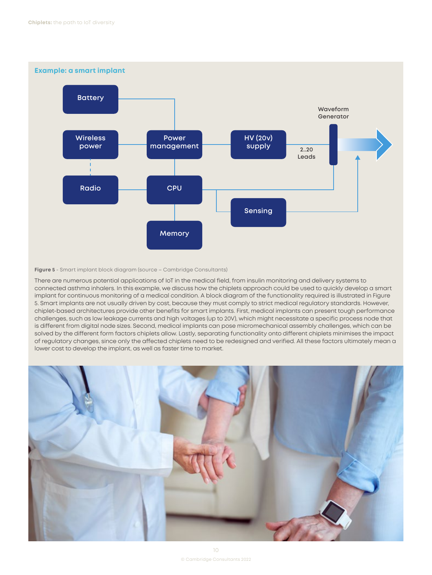

#### **Figure 5** - Smart implant block diagram (source – Cambridge Consultants)

There are numerous potential applications of IoT in the medical field, from insulin monitoring and delivery systems to connected asthma inhalers. In this example, we discuss how the chiplets approach could be used to quickly develop a smart implant for continuous monitoring of a medical condition. A block diagram of the functionality required is illustrated in Figure 5. Smart implants are not usually driven by cost, because they must comply to strict medical regulatory standards. However, chiplet-based architectures provide other benefits for smart implants. First, medical implants can present tough performance challenges, such as low leakage currents and high voltages (up to 20V), which might necessitate a specific process node that is different from digital node sizes. Second, medical implants can pose micromechanical assembly challenges, which can be solved by the different form factors chiplets allow. Lastly, separating functionality onto different chiplets minimises the impact of regulatory changes, since only the affected chiplets need to be redesigned and verified. All these factors ultimately mean a lower cost to develop the implant, as well as faster time to market.

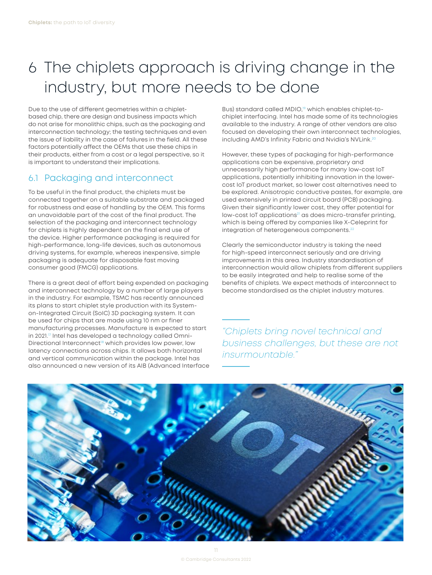# <span id="page-11-0"></span>6 The chiplets approach is driving change in the industry, but more needs to be done

Due to the use of different geometries within a chipletbased chip, there are design and business impacts which do not arise for monolithic chips, such as the packaging and interconnection technology; the testing techniques and even the issue of liability in the case of failures in the field. All these factors potentially affect the OEMs that use these chips in their products, either from a cost or a legal perspective, so it is important to understand their implications.

### 6.1 Packaging and interconnect

To be useful in the final product, the chiplets must be connected together on a suitable substrate and packaged for robustness and ease of handling by the OEM. This forms an unavoidable part of the cost of the final product. The selection of the packaging and interconnect technology for chiplets is highly dependent on the final end use of the device. Higher performance packaging is required for high-performance, long-life devices, such as autonomous driving systems, for example, whereas inexpensive, simple packaging is adequate for disposable fast moving consumer good (FMCG) applications.

There is a great deal of effort being expended on packaging and interconnect technology by a number of large players in the industry. For example, TSMC has recently announced its plans to start chiplet style production with its Systemon-Integrated Circuit (SoIC) 3D packaging system. It can be used for chips that are made using 10 nm or finer manufacturing processes. Manufacture is expected to start in 2021.<sup>17</sup> Intel has developed a technology called Omni-Directional Interconnect<sup>[18](#page-16-0)</sup> which provides low power, low latency connections across chips. It allows both horizontal and vertical communication within the package. Intel has also announced a new version of its AIB (Advanced Interface

Bus) standard called MDIO,<sup>19</sup> which enables chiplet-tochiplet interfacing. Intel has made some of its technologies available to the industry. A range of other vendors are also focused on developing their own interconnect technologies, including AMD's Infinity Fabric and Nvidia's NVLink.[20](#page-16-0)

However, these types of packaging for high-performance applications can be expensive, proprietary and unnecessarily high performance for many low-cost IoT applications, potentially inhibiting innovation in the lowercost IoT product market, so lower cost alternatives need to be explored. Anisotropic conductive pastes, for example, are used extensively in printed circuit board (PCB) packaging. Given their significantly lower cost, they offer potential for low-cost IoT applications<sup>21</sup> as does micro-transfer printing, which is being offered by companies like X-Celeprint for integration of heterogeneous components.<sup>[22](#page-16-0)</sup>

Clearly the semiconductor industry is taking the need for high-speed interconnect seriously and are driving improvements in this area. Industry standardisation of interconnection would allow chiplets from different suppliers to be easily integrated and help to realise some of the benefits of chiplets. We expect methods of interconnect to become standardised as the chiplet industry matures.

*"Chiplets bring novel technical and business challenges, but these are not insurmountable."*

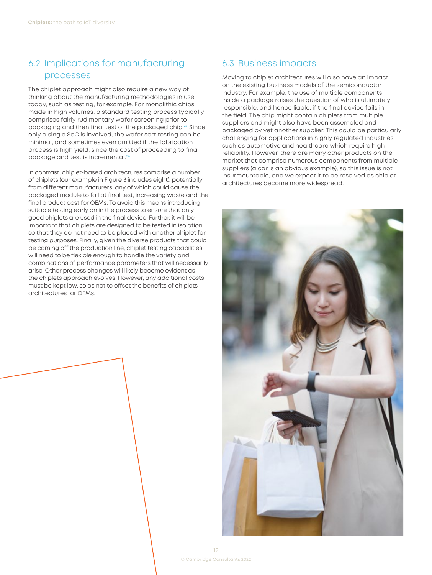## <span id="page-12-0"></span>6.2 Implications for manufacturing processes

The chiplet approach might also require a new way of thinking about the manufacturing methodologies in use today, such as testing, for example. For monolithic chips made in high volumes, a standard testing process typically comprises fairly rudimentary wafer screening prior to packaging and then final test of the packaged chip.[23](#page-16-0) Since only a single SoC is involved, the wafer sort testing can be minimal, and sometimes even omitted if the fabrication process is high yield, since the cost of proceeding to final package and test is incremental.<sup>[24](#page-16-0)</sup>

In contrast, chiplet-based architectures comprise a number of chiplets (our example in Figure 3 includes eight), potentially from different manufacturers, any of which could cause the packaged module to fail at final test, increasing waste and the final product cost for OEMs. To avoid this means introducing suitable testing early on in the process to ensure that only good chiplets are used in the final device. Further, it will be important that chiplets are designed to be tested in isolation so that they do not need to be placed with another chiplet for testing purposes. Finally, given the diverse products that could be coming off the production line, chiplet testing capabilities will need to be flexible enough to handle the variety and combinations of performance parameters that will necessarily arise. Other process changes will likely become evident as the chiplets approach evolves. However, any additional costs must be kept low, so as not to offset the benefits of chiplets architectures for OEMs.

#### 6.3 Business impacts

Moving to chiplet architectures will also have an impact on the existing business models of the semiconductor industry. For example, the use of multiple components inside a package raises the question of who is ultimately responsible, and hence liable, if the final device fails in the field. The chip might contain chiplets from multiple suppliers and might also have been assembled and packaged by yet another supplier. This could be particularly challenging for applications in highly regulated industries such as automotive and healthcare which require high reliability. However, there are many other products on the market that comprise numerous components from multiple suppliers (a car is an obvious example), so this issue is not insurmountable, and we expect it to be resolved as chiplet architectures become more widespread.

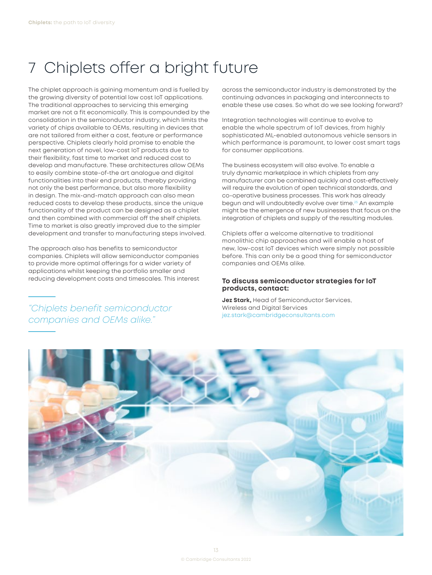# <span id="page-13-0"></span>7 Chiplets offer a bright future

The chiplet approach is gaining momentum and is fuelled by the growing diversity of potential low cost IoT applications. The traditional approaches to servicing this emerging market are not a fit economically. This is compounded by the consolidation in the semiconductor industry, which limits the variety of chips available to OEMs, resulting in devices that are not tailored from either a cost, feature or performance perspective. Chiplets clearly hold promise to enable the next generation of novel, low-cost IoT products due to their flexibility, fast time to market and reduced cost to develop and manufacture. These architectures allow OEMs to easily combine state-of-the art analogue and digital functionalities into their end products, thereby providing not only the best performance, but also more flexibility in design. The mix-and-match approach can also mean reduced costs to develop these products, since the unique functionality of the product can be designed as a chiplet and then combined with commercial off the shelf chiplets. Time to market is also greatly improved due to the simpler development and transfer to manufacturing steps involved.

The approach also has benefits to semiconductor companies. Chiplets will allow semiconductor companies to provide more optimal offerings for a wider variety of applications whilst keeping the portfolio smaller and reducing development costs and timescales. This interest

*"Chiplets benefit semiconductor companies and OEMs alike."*

across the semiconductor industry is demonstrated by the continuing advances in packaging and interconnects to enable these use cases. So what do we see looking forward?

Integration technologies will continue to evolve to enable the whole spectrum of IoT devices, from highly sophisticated ML-enabled autonomous vehicle sensors in which performance is paramount, to lower cost smart tags for consumer applications.

The business ecosystem will also evolve. To enable a truly dynamic marketplace in which chiplets from any manufacturer can be combined quickly and cost-effectively will require the evolution of open technical standards, and co-operative business processes. This work has already begun and will undoubtedly evolve over time[.25](#page-16-0) An example might be the emergence of new businesses that focus on the integration of chiplets and supply of the resulting modules.

Chiplets offer a welcome alternative to traditional monolithic chip approaches and will enable a host of new, low-cost IoT devices which were simply not possible before. This can only be a good thing for semiconductor companies and OEMs alike.

#### **To discuss semiconductor strategies for IoT products, contact:**

**Jez Stark,** Head of Semiconductor Services, Wireless and Digital Services [jez.stark@cambridgeconsultants.com](mailto:jez.stark@cambridgeconsultants.com)

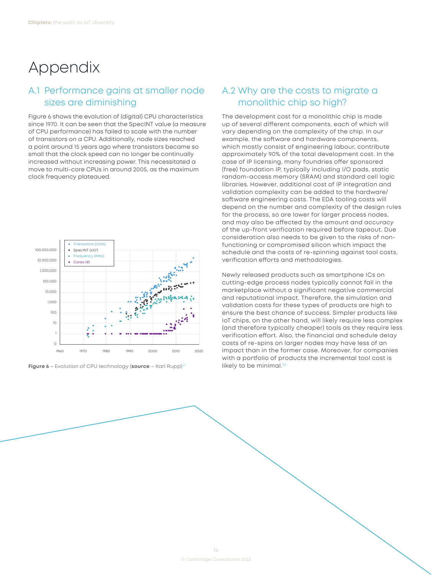## <span id="page-14-0"></span>Appendix

## A.1 Performance gains at smaller node sizes are diminishing

Figure 6 shows the evolution of (digital) CPU characteristics since 1970. It can be seen that the SpecINT value (a measure of CPU performance) has failed to scale with the number of transistors on a CPU. Additionally, node sizes reached a point around 15 years ago where transistors became so small that the clock speed can no longer be continually increased without increasing power. This necessitated a move to multi-core CPUs in around 2005, as the maximum clock frequency plateaued.



**Figure 6** – Evolution of CPU technology (**source** – Karl Rupp)<sup>27</sup> likely to be minimal.<sup>[26](#page-16-0)</sup>

## A.2 Why are the costs to migrate a monolithic chip so high?

The development cost for a monolithic chip is made up of several different components, each of which will vary depending on the complexity of the chip. In our example, the software and hardware components, which mostly consist of engineering labour, contribute approximately 90% of the total development cost. In the case of IP licensing, many foundries offer sponsored (free) foundation IP, typically including I/O pads, static random-access memory (SRAM) and standard cell logic libraries. However, additional cost of IP integration and validation complexity can be added to the hardware/ software engineering costs. The EDA tooling costs will depend on the number and complexity of the design rules for the process, so are lower for larger process nodes, and may also be affected by the amount and accuracy of the up-front verification required before tapeout. Due consideration also needs to be given to the risks of nonfunctioning or compromised silicon which impact the schedule and the costs of re-spinning against tool costs, verification efforts and methodologies.

Newly released products such as smartphone ICs on cutting-edge process nodes typically cannot fail in the marketplace without a significant negative commercial and reputational impact. Therefore, the simulation and validation costs for these types of products are high to ensure the best chance of success. Simpler products like IoT chips, on the other hand, will likely require less complex (and therefore typically cheaper) tools as they require less verification effort. Also, the financial and schedule delay costs of re-spins on larger nodes may have less of an impact than in the former case. Moreover, for companies with a portfolio of products the incremental tool cost is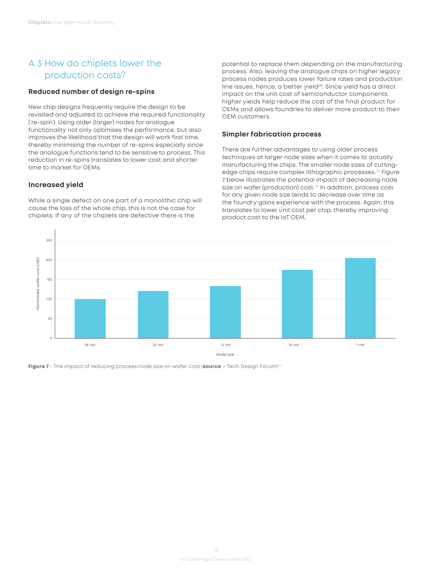### <span id="page-15-0"></span>A.3 How do chiplets lower the production costs?

#### **Reduced number of design re-spins**

New chip designs frequently require the design to be revisited and adjusted to achieve the required functionality ('re-spin'). Using older (larger) nodes for analogue functionality not only optimises the performance, but also improves the likelihood that the design will work first time, thereby minimising the number of re-spins especially since the analogue functions tend to be sensitive to process. This reduction in re-spins translates to lower cost and shorter time to market for OEMs.

#### **Increased yield**

While a single defect on one part of a monolithic chip will cause the loss of the whole chip, this is not the case for chiplets. If any of the chiplets are defective there is the

potential to replace them depending on the manufacturing process. Also, leaving the analogue chips on higher legacy process nodes produces lower failure rates and production line issues, hence, a better yield<sup>28</sup>. Since yield has a direct impact on the unit cost of semiconductor components, higher yields help reduce the cost of the final product for OEMs and allows foundries to deliver more product to their OEM customers.

#### **Simpler fabrication process**

There are further advantages to using older process techniques at larger node sizes when it comes to actually manufacturing the chips. The smaller node sizes of cuttingedge chips require complex lithographic processes.<sup>28</sup> Figure 7 below illustrates the potential impact of decreasing node size on wafer (production) cost.<sup>[29](#page-16-0)</sup> In addition, process cost for any given node size tends to decrease over time as the foundry gains experience with the process. Again, this translates to lower unit cost per chip, thereby improving product cost to the IoT OEM.



**Figure 7** - The impact of reducing process node size on wafer cost (**source** – Tech Design Forum)29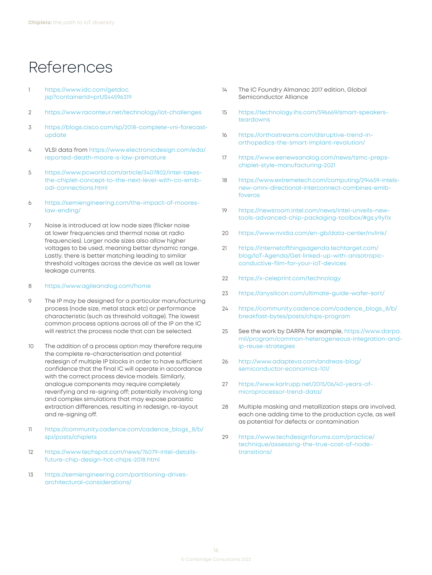## <span id="page-16-0"></span>References

- [1](#page-3-0) [https://www.idc.com/getdoc.](https://www.idc.com/getdoc.jsp?containerId=prUS44596319) [jsp?containerId=prUS44596319](https://www.idc.com/getdoc.jsp?containerId=prUS44596319)
- [2](#page-3-0) <https://www.raconteur.net/technology/iot-challenges>
- [3](#page-4-0) [https://blogs.cisco.com/sp/2018-complete-vni-forecast](https://blogs.cisco.com/sp/2018-complete-vni-forecast-update)[update](https://blogs.cisco.com/sp/2018-complete-vni-forecast-update)
- [4](#page-4-0) VLSI data from [https://www.electronicdesign.com/eda/](https://www.electronicdesign.com/eda/reported-death-moore-s-law-premature) [reported-death-moore-s-law-premature](https://www.electronicdesign.com/eda/reported-death-moore-s-law-premature)
- [5](#page-5-0) [https://www.pcworld.com/article/3407802/intel-takes](https://www.pcworld.com/article/3407802/intel-takes-the-chiplet-concept-to-the-next-level-with-co-emib-odi-connections.html)[the-chiplet-concept-to-the-next-level-with-co-emib](https://www.pcworld.com/article/3407802/intel-takes-the-chiplet-concept-to-the-next-level-with-co-emib-odi-connections.html)[odi-connections.html](https://www.pcworld.com/article/3407802/intel-takes-the-chiplet-concept-to-the-next-level-with-co-emib-odi-connections.html)
- [6](#page-5-0) [https://semiengineering.com/the-impact-of-moores](https://semiengineering.com/the-impact-of-moores-law-ending/)[law-ending/](https://semiengineering.com/the-impact-of-moores-law-ending/)
- [7](#page-6-0) Noise is introduced at low node sizes (flicker noise at lower frequencies and thermal noise at radio frequencies). Larger node sizes also allow higher voltages to be used, meaning better dynamic range. Lastly, there is better matching leading to similar threshold voltages across the device as well as lower leakage currents.

#### [8](#page-6-0) <https://www.agileanalog.com/home>

- [9](#page-6-0) The IP may be designed for a particular manufacturing process (node size, metal stack etc) or performance characteristic (such as threshold voltage). The lowest common process options across all of the IP on the IC will restrict the process node that can be selected.
- [10](#page-6-0) The addition of a process option may therefore require the complete re-characterisation and potential redesign of multiple IP blocks in order to have sufficient confidence that the final IC will operate in accordance with the correct process device models. Similarly, analogue components may require completely reverifying and re-signing off; potentially involving long and complex simulations that may expose parasitic extraction differences, resulting in redesign, re-layout and re-signing off.
- [11](#page-7-0) [https://community.cadence.com/cadence\\_blogs\\_8/b/](https://community.cadence.com/cadence_blogs_8/b/spi/posts/chiplets) [spi/posts/chiplets](https://community.cadence.com/cadence_blogs_8/b/spi/posts/chiplets)
- [12](#page-7-0) [https://www.techspot.com/news/76079-intel-details](https://www.techspot.com/news/76079-intel-details-future-chip-design-hot-chips-2018.html)[future-chip-design-hot-chips-2018.html](https://www.techspot.com/news/76079-intel-details-future-chip-design-hot-chips-2018.html)
- [13](#page-8-0) [https://semiengineering.com/partitioning-drives](https://semiengineering.com/partitioning-drives-architectural-considerations/)[architectural-considerations/](https://semiengineering.com/partitioning-drives-architectural-considerations/)
- [14](#page-8-0) The IC Foundry Almanac 2017 edition, Global Semiconductor Alliance
- [15](#page-9-0) [https://technology.ihs.com/596669/smart-speakers](https://technology.ihs.com/596669/smart-speakers-teardowns)[teardowns](https://technology.ihs.com/596669/smart-speakers-teardowns)
- [16](#page-9-0) [https://orthostreams.com/disruptive-trend-in](https://orthostreams.com/disruptive-trend-in-orthopedics-the-smart-implant-revolution/)[orthopedics-the-smart-implant-revolution/](https://orthostreams.com/disruptive-trend-in-orthopedics-the-smart-implant-revolution/)
- [17](#page-11-0) [https://www.eenewsanalog.com/news/tsmc-preps](https://www.eenewsanalog.com/news/tsmc-preps-chiplet-style-manufacturing-2021)[chiplet-style-manufacturing-2021](https://www.eenewsanalog.com/news/tsmc-preps-chiplet-style-manufacturing-2021)
- [18](#page-11-0) [https://www.extremetech.com/computing/294659-intels](https://www.extremetech.com/computing/294659-intels-new-omni-directional-interconnect-combines-emib-foveros)[new-omni-directional-interconnect-combines-emib](https://www.extremetech.com/computing/294659-intels-new-omni-directional-interconnect-combines-emib-foveros)[foveros](https://www.extremetech.com/computing/294659-intels-new-omni-directional-interconnect-combines-emib-foveros)
- [19](#page-11-0) [https://newsroom.intel.com/news/intel-unveils-new](https://newsroom.intel.com/news/intel-unveils-new-tools-advanced-chip-packaging-toolbox/#gs.y9yl1x)[tools-advanced-chip-packaging-toolbox/#gs.y9yl1x](https://newsroom.intel.com/news/intel-unveils-new-tools-advanced-chip-packaging-toolbox/#gs.y9yl1x)
- [20](#page-11-0) <https://www.nvidia.com/en-gb/data-center/nvlink/>
- [21](#page-11-0) [https://internetofthingsagenda.techtarget.com/](https://internetofthingsagenda.techtarget.com/blog/IoT-Agenda/Get-linked-up-with-anisotropic-conductive-film-for-your-IoT-devices) [blog/IoT-Agenda/Get-linked-up-with-anisotropic](https://internetofthingsagenda.techtarget.com/blog/IoT-Agenda/Get-linked-up-with-anisotropic-conductive-film-for-your-IoT-devices)[conductive-film-for-your-IoT-devices](https://internetofthingsagenda.techtarget.com/blog/IoT-Agenda/Get-linked-up-with-anisotropic-conductive-film-for-your-IoT-devices)
- [22](#page-11-0) <https://x-celeprint.com/technology>
- [23](#page-12-0) <https://anysilicon.com/ultimate-guide-wafer-sort/>
- [24](#page-12-0) [https://community.cadence.com/cadence\\_blogs\\_8/b/](https://community.cadence.com/cadence_blogs_8/b/breakfast-bytes/posts/chips-program) [breakfast-bytes/posts/chips-program](https://community.cadence.com/cadence_blogs_8/b/breakfast-bytes/posts/chips-program)
- [25](#page-13-0) See the work by DARPA for example, [https://www.darpa.](https://www.darpa.mil/program/common-heterogeneous-integration-and-ip-reuse-strategies) [mil/program/common-heterogeneous-integration-and](https://www.darpa.mil/program/common-heterogeneous-integration-and-ip-reuse-strategies)[ip-reuse-strategies](https://www.darpa.mil/program/common-heterogeneous-integration-and-ip-reuse-strategies)
- [26](#page-14-0) [http://www.adapteva.com/andreas-blog/](http://www.adapteva.com/andreas-blog/semiconductor-economics-101/) [semiconductor-economics-101/](http://www.adapteva.com/andreas-blog/semiconductor-economics-101/)
- [27](#page-14-0) [https://www.karlrupp.net/2015/06/40-years-of](https://www.karlrupp.net/2015/06/40-years-of-microprocessor-trend-data/)[microprocessor-trend-data/](https://www.karlrupp.net/2015/06/40-years-of-microprocessor-trend-data/)
- [28](#page-15-0) Multiple masking and metallization steps are involved, each one adding time to the production cycle, as well as potential for defects or contamination
- [29](#page-15-0) [https://www.techdesignforums.com/practice/](https://www.techdesignforums.com/practice/technique/assessing-the-true-cost-of-node-transitions/) [technique/assessing-the-true-cost-of-node](https://www.techdesignforums.com/practice/technique/assessing-the-true-cost-of-node-transitions/)[transitions/](https://www.techdesignforums.com/practice/technique/assessing-the-true-cost-of-node-transitions/)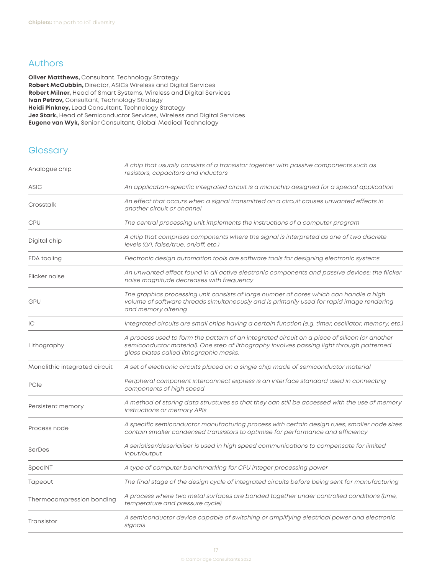### <span id="page-17-0"></span>Authors

**Oliver Matthews, Consultant, Technology Strategy Robert McCubbin,** Director, ASICs Wireless and Digital Services **Robert Milner,** Head of Smart Systems, Wireless and Digital Services **Ivan Petrov,** Consultant, Technology Strategy **Heidi Pinkney,** Lead Consultant, Technology Strategy **Jez Stark,** Head of Semiconductor Services, Wireless and Digital Services **Eugene van Wyk,** Senior Consultant, Global Medical Technology

### **Glossary**

| Analogue chip                 | A chip that usually consists of a transistor together with passive components such as<br>resistors, capacitors and inductors                                                                                                          |  |  |  |  |  |
|-------------------------------|---------------------------------------------------------------------------------------------------------------------------------------------------------------------------------------------------------------------------------------|--|--|--|--|--|
| <b>ASIC</b>                   | An application-specific integrated circuit is a microchip designed for a special application                                                                                                                                          |  |  |  |  |  |
| Crosstalk                     | An effect that occurs when a signal transmitted on a circuit causes unwanted effects in<br>another circuit or channel                                                                                                                 |  |  |  |  |  |
| CPU                           | The central processing unit implements the instructions of a computer program                                                                                                                                                         |  |  |  |  |  |
| Digital chip                  | A chip that comprises components where the signal is interpreted as one of two discrete<br>levels (0/1, false/true, on/off, etc.)                                                                                                     |  |  |  |  |  |
| EDA tooling                   | Electronic design automation tools are software tools for designing electronic systems                                                                                                                                                |  |  |  |  |  |
| Flicker noise                 | An unwanted effect found in all active electronic components and passive devices; the flicker<br>noise magnitude decreases with frequency                                                                                             |  |  |  |  |  |
| GPU                           | The graphics processing unit consists of large number of cores which can handle a high<br>volume of software threads simultaneously and is primarily used for rapid image rendering<br>and memory altering                            |  |  |  |  |  |
| C                             | Integrated circuits are small chips having a certain function (e.g. timer, oscillator, memory, etc.)                                                                                                                                  |  |  |  |  |  |
| Lithography                   | A process used to form the pattern of an integrated circuit on a piece of silicon (or another<br>semiconductor material). One step of lithography involves passing light through patterned<br>glass plates called lithographic masks. |  |  |  |  |  |
| Monolithic integrated circuit | A set of electronic circuits placed on a single chip made of semiconductor material                                                                                                                                                   |  |  |  |  |  |
| PCIe                          | Peripheral component interconnect express is an interface standard used in connecting<br>components of high speed                                                                                                                     |  |  |  |  |  |
| Persistent memory             | A method of storing data structures so that they can still be accessed with the use of memory<br>instructions or memory APIs                                                                                                          |  |  |  |  |  |
| Process node                  | A specific semiconductor manufacturing process with certain design rules; smaller node sizes<br>contain smaller condensed transistors to optimise for performance and efficiency                                                      |  |  |  |  |  |
| SerDes                        | A serialiser/deserialiser is used in high speed communications to compensate for limited<br>input/output                                                                                                                              |  |  |  |  |  |
| SpecINT                       | A type of computer benchmarking for CPU integer processing power                                                                                                                                                                      |  |  |  |  |  |
| Tapeout                       | The final stage of the design cycle of integrated circuits before being sent for manufacturing                                                                                                                                        |  |  |  |  |  |
| Thermocompression bonding     | A process where two metal surfaces are bonded together under controlled conditions (time,<br>temperature and pressure cycle)                                                                                                          |  |  |  |  |  |
| Transistor                    | A semiconductor device capable of switching or amplifying electrical power and electronic<br>signals                                                                                                                                  |  |  |  |  |  |